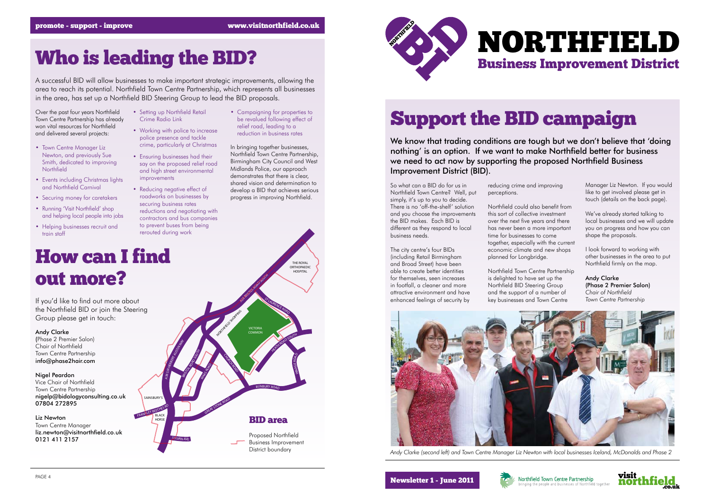We know that trading conditions are tough but we don't believe that 'doing nothing' is an option. If we want to make Northfield better for business we need to act now by supporting the proposed Northfield Business Improvement District (BID).

So what can a BID do for us in Northfield Town Centre? Well, put simply, it's up to you to decide. There is no 'off-the-shelf' solution and you choose the improvements the BID makes. Each BID is different as they respond to local business needs.

The city centre's four BIDs (including Retail Birmingham and Broad Street) have been able to create better identities for themselves, seen increases in footfall, a cleaner and more attractive environment and have enhanced feelings of security by

reducing crime and improving perceptions.

Northfield could also benefit from this sort of collective investment over the next five years and there has never been a more important time for businesses to come together, especially with the current economic climate and new shops planned for Longbridge.

Northfield Town Centre Partnership is delighted to have set up the Northfield BID Steering Group and the support of a number of key businesses and Town Centre



- Town Centre Manager Liz Newton, and previously Sue Smith, dedicated to improving **Northfield**
- Events including Christmas lights and Northfield Carnival
- Securing money for caretakers
- Running 'Visit Northfield' shop and helping local people into jobs
- Helping businesses recruit and train staff

Manager Liz Newton. If you would like to get involved please get in touch (details on the back page).

We've already started talking to local businesses and we will update you on progress and how you can shape the proposals.

I look forward to working with other businesses in the area to put Northfield firmly on the map.

Andy Clarke (Phase 2 Premier Salon) *Chair of Northfield Town Centre Partnership*





*Andy Clarke (second left) and Town Centre Manager Liz Newton with local businesses Iceland, McDonalds and Phase 2*

### NORTHFIELD Business Improvement District



## Over the past four years Northfield Setting up Northfield Retail Campaigning for properties to<br>Town Centre Partnership has already Crime Radio Link be revalued following effect of **Support the BID campaign Campaign**

Town Centre Partnership has already won vital resources for Northfield and delivered several projects:

#### Who is leading the BID?

A successful BID will allow businesses to make important strategic improvements, allowing the area to reach its potential. Northfield Town Centre Partnership, which represents all businesses in the area, has set up a Northfield BID Steering Group to lead the BID proposals.

- Setting up Northfield Retail Crime Radio Link
- Working with police to increase police presence and tackle crime, particularly at Christmas
- Ensuring businesses had their say on the proposed relief road and high street environmental improvements
- Reducing negative effect of roadworks on businesses by securing business rates
- reductions and negotiating with contractors and bus companies to prevent buses from being rerouted during work

• Campaigning for properties to be revalued following effect of relief road, leading to a reduction in business rates



In bringing together businesses, Northfield Town Centre Partnership, Birmingham City Council and West Midlands Police, our approach demonstrates that there is clear, shared vision and determination to develop a BID that achieves serious progress in improving Northfield.